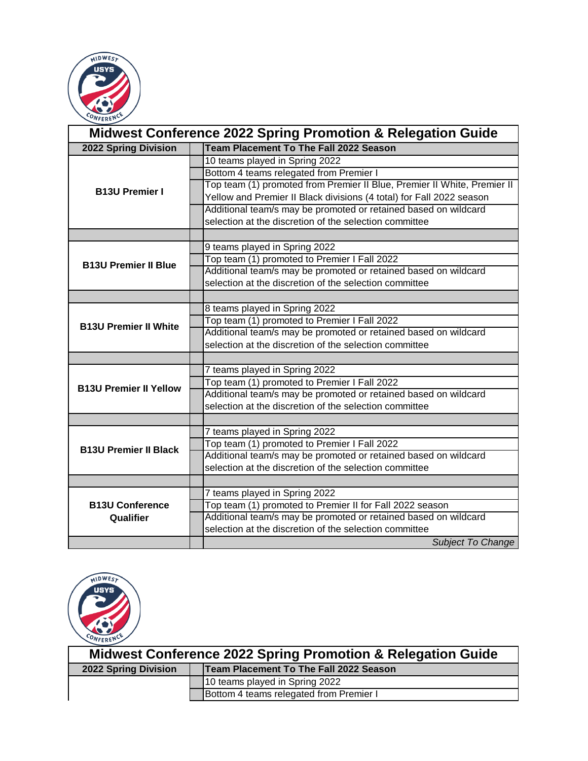

| <b>Midwest Conference 2022 Spring Promotion &amp; Relegation Guide</b> |  |                                                                          |
|------------------------------------------------------------------------|--|--------------------------------------------------------------------------|
| <b>2022 Spring Division</b>                                            |  | <b>Team Placement To The Fall 2022 Season</b>                            |
|                                                                        |  | 10 teams played in Spring 2022                                           |
|                                                                        |  | Bottom 4 teams relegated from Premier I                                  |
| <b>B13U Premier I</b>                                                  |  | Top team (1) promoted from Premier II Blue, Premier II White, Premier II |
|                                                                        |  | Yellow and Premier II Black divisions (4 total) for Fall 2022 season     |
|                                                                        |  | Additional team/s may be promoted or retained based on wildcard          |
|                                                                        |  | selection at the discretion of the selection committee                   |
|                                                                        |  |                                                                          |
|                                                                        |  | 9 teams played in Spring 2022                                            |
| <b>B13U Premier II Blue</b>                                            |  | Top team (1) promoted to Premier I Fall 2022                             |
|                                                                        |  | Additional team/s may be promoted or retained based on wildcard          |
|                                                                        |  | selection at the discretion of the selection committee                   |
|                                                                        |  |                                                                          |
|                                                                        |  | 8 teams played in Spring 2022                                            |
| <b>B13U Premier II White</b>                                           |  | Top team (1) promoted to Premier I Fall 2022                             |
|                                                                        |  | Additional team/s may be promoted or retained based on wildcard          |
|                                                                        |  | selection at the discretion of the selection committee                   |
|                                                                        |  |                                                                          |
|                                                                        |  | 7 teams played in Spring 2022                                            |
| <b>B13U Premier II Yellow</b>                                          |  | Top team (1) promoted to Premier I Fall 2022                             |
|                                                                        |  | Additional team/s may be promoted or retained based on wildcard          |
|                                                                        |  | selection at the discretion of the selection committee                   |
|                                                                        |  |                                                                          |
|                                                                        |  | 7 teams played in Spring 2022                                            |
| <b>B13U Premier II Black</b>                                           |  | Top team (1) promoted to Premier I Fall 2022                             |
|                                                                        |  | Additional team/s may be promoted or retained based on wildcard          |
|                                                                        |  | selection at the discretion of the selection committee                   |
|                                                                        |  |                                                                          |
|                                                                        |  | 7 teams played in Spring 2022                                            |
| <b>B13U Conference</b>                                                 |  | Top team (1) promoted to Premier II for Fall 2022 season                 |
| Qualifier                                                              |  | Additional team/s may be promoted or retained based on wildcard          |
|                                                                        |  | selection at the discretion of the selection committee                   |
|                                                                        |  | <b>Subject To Change</b>                                                 |



| Midwest Conference 2022 Spring Promotion & Relegation Guide |                                        |                                         |
|-------------------------------------------------------------|----------------------------------------|-----------------------------------------|
| 2022 Spring Division                                        | Team Placement To The Fall 2022 Season |                                         |
|                                                             |                                        | 10 teams played in Spring 2022          |
|                                                             |                                        | Bottom 4 teams relegated from Premier I |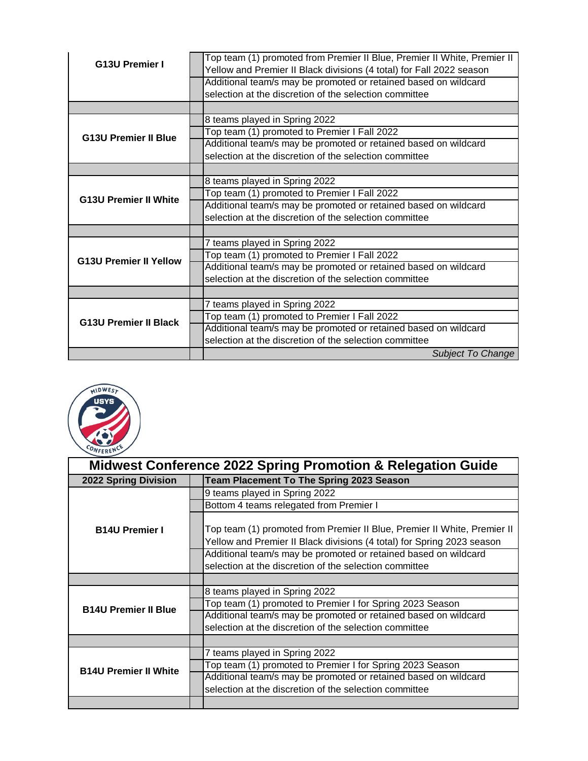| <b>G13U Premier I</b>         | Top team (1) promoted from Premier II Blue, Premier II White, Premier II |
|-------------------------------|--------------------------------------------------------------------------|
|                               | Yellow and Premier II Black divisions (4 total) for Fall 2022 season     |
|                               | Additional team/s may be promoted or retained based on wildcard          |
|                               | selection at the discretion of the selection committee                   |
|                               |                                                                          |
|                               | 8 teams played in Spring 2022                                            |
| <b>G13U Premier II Blue</b>   | Top team (1) promoted to Premier I Fall 2022                             |
|                               | Additional team/s may be promoted or retained based on wildcard          |
|                               | selection at the discretion of the selection committee                   |
|                               |                                                                          |
|                               | 8 teams played in Spring 2022                                            |
| <b>G13U Premier II White</b>  | Top team (1) promoted to Premier I Fall 2022                             |
|                               | Additional team/s may be promoted or retained based on wildcard          |
|                               | selection at the discretion of the selection committee                   |
|                               |                                                                          |
|                               | 7 teams played in Spring 2022                                            |
| <b>G13U Premier II Yellow</b> | Top team (1) promoted to Premier I Fall 2022                             |
|                               | Additional team/s may be promoted or retained based on wildcard          |
|                               | selection at the discretion of the selection committee                   |
|                               |                                                                          |
|                               | 7 teams played in Spring 2022                                            |
| <b>G13U Premier II Black</b>  | Top team (1) promoted to Premier I Fall 2022                             |
|                               | Additional team/s may be promoted or retained based on wildcard          |
|                               | selection at the discretion of the selection committee                   |
|                               | <b>Subject To Change</b>                                                 |



|                              | <b>Midwest Conference 2022 Spring Promotion &amp; Relegation Guide</b> |                                                                                                                                                    |  |
|------------------------------|------------------------------------------------------------------------|----------------------------------------------------------------------------------------------------------------------------------------------------|--|
| <b>2022 Spring Division</b>  |                                                                        | <b>Team Placement To The Spring 2023 Season</b>                                                                                                    |  |
|                              |                                                                        | 9 teams played in Spring 2022                                                                                                                      |  |
|                              |                                                                        | Bottom 4 teams relegated from Premier I                                                                                                            |  |
| <b>B14U Premier I</b>        |                                                                        | Top team (1) promoted from Premier II Blue, Premier II White, Premier II<br>Yellow and Premier II Black divisions (4 total) for Spring 2023 season |  |
|                              |                                                                        | Additional team/s may be promoted or retained based on wildcard<br>selection at the discretion of the selection committee                          |  |
|                              |                                                                        |                                                                                                                                                    |  |
|                              |                                                                        | 8 teams played in Spring 2022                                                                                                                      |  |
| <b>B14U Premier II Blue</b>  |                                                                        | Top team (1) promoted to Premier I for Spring 2023 Season                                                                                          |  |
|                              |                                                                        | Additional team/s may be promoted or retained based on wildcard                                                                                    |  |
|                              |                                                                        | selection at the discretion of the selection committee                                                                                             |  |
|                              |                                                                        |                                                                                                                                                    |  |
|                              |                                                                        | 7 teams played in Spring 2022                                                                                                                      |  |
| <b>B14U Premier II White</b> |                                                                        | Top team (1) promoted to Premier I for Spring 2023 Season                                                                                          |  |
|                              |                                                                        | Additional team/s may be promoted or retained based on wildcard                                                                                    |  |
|                              |                                                                        | selection at the discretion of the selection committee                                                                                             |  |
|                              |                                                                        |                                                                                                                                                    |  |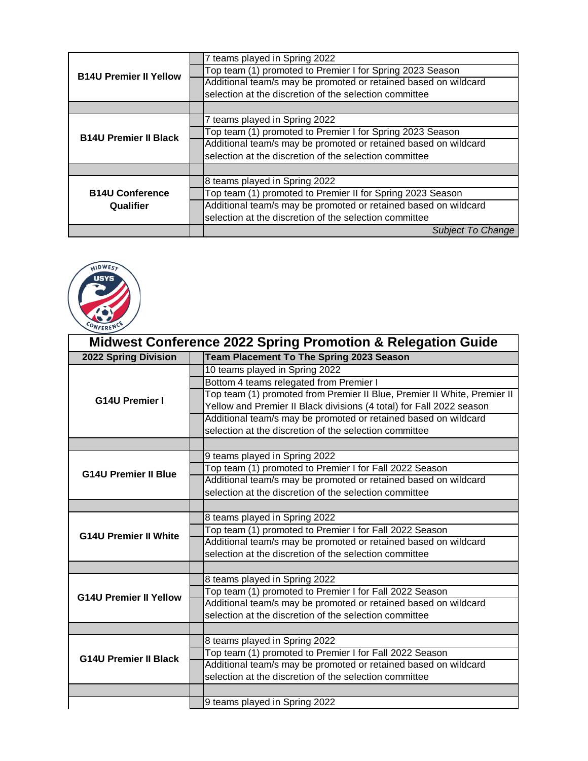| <b>B14U Premier II Yellow</b>       | 7 teams played in Spring 2022                                   |
|-------------------------------------|-----------------------------------------------------------------|
|                                     | Top team (1) promoted to Premier I for Spring 2023 Season       |
|                                     | Additional team/s may be promoted or retained based on wildcard |
|                                     | selection at the discretion of the selection committee          |
|                                     |                                                                 |
|                                     | 7 teams played in Spring 2022                                   |
| <b>B14U Premier II Black</b>        | Top team (1) promoted to Premier I for Spring 2023 Season       |
|                                     | Additional team/s may be promoted or retained based on wildcard |
|                                     | selection at the discretion of the selection committee          |
|                                     |                                                                 |
|                                     | 8 teams played in Spring 2022                                   |
| <b>B14U Conference</b><br>Qualifier | Top team (1) promoted to Premier II for Spring 2023 Season      |
|                                     | Additional team/s may be promoted or retained based on wildcard |
|                                     | selection at the discretion of the selection committee          |
|                                     | Subject To Change                                               |



| <b>Midwest Conference 2022 Spring Promotion &amp; Relegation Guide</b> |                                                                          |  |
|------------------------------------------------------------------------|--------------------------------------------------------------------------|--|
| 2022 Spring Division                                                   | <b>Team Placement To The Spring 2023 Season</b>                          |  |
|                                                                        | 10 teams played in Spring 2022                                           |  |
|                                                                        | Bottom 4 teams relegated from Premier I                                  |  |
| <b>G14U Premier I</b>                                                  | Top team (1) promoted from Premier II Blue, Premier II White, Premier II |  |
|                                                                        | Yellow and Premier II Black divisions (4 total) for Fall 2022 season     |  |
|                                                                        | Additional team/s may be promoted or retained based on wildcard          |  |
|                                                                        | selection at the discretion of the selection committee                   |  |
|                                                                        |                                                                          |  |
|                                                                        | 9 teams played in Spring 2022                                            |  |
| <b>G14U Premier II Blue</b>                                            | Top team (1) promoted to Premier I for Fall 2022 Season                  |  |
|                                                                        | Additional team/s may be promoted or retained based on wildcard          |  |
|                                                                        | selection at the discretion of the selection committee                   |  |
|                                                                        |                                                                          |  |
|                                                                        | 8 teams played in Spring 2022                                            |  |
| <b>G14U Premier II White</b>                                           | Top team (1) promoted to Premier I for Fall 2022 Season                  |  |
|                                                                        | Additional team/s may be promoted or retained based on wildcard          |  |
|                                                                        | selection at the discretion of the selection committee                   |  |
|                                                                        |                                                                          |  |
|                                                                        | 8 teams played in Spring 2022                                            |  |
| <b>G14U Premier II Yellow</b>                                          | Top team (1) promoted to Premier I for Fall 2022 Season                  |  |
|                                                                        | Additional team/s may be promoted or retained based on wildcard          |  |
|                                                                        | selection at the discretion of the selection committee                   |  |
|                                                                        |                                                                          |  |
|                                                                        | 8 teams played in Spring 2022                                            |  |
| <b>G14U Premier II Black</b>                                           | Top team (1) promoted to Premier I for Fall 2022 Season                  |  |
|                                                                        | Additional team/s may be promoted or retained based on wildcard          |  |
|                                                                        | selection at the discretion of the selection committee                   |  |
|                                                                        |                                                                          |  |
|                                                                        | 9 teams played in Spring 2022                                            |  |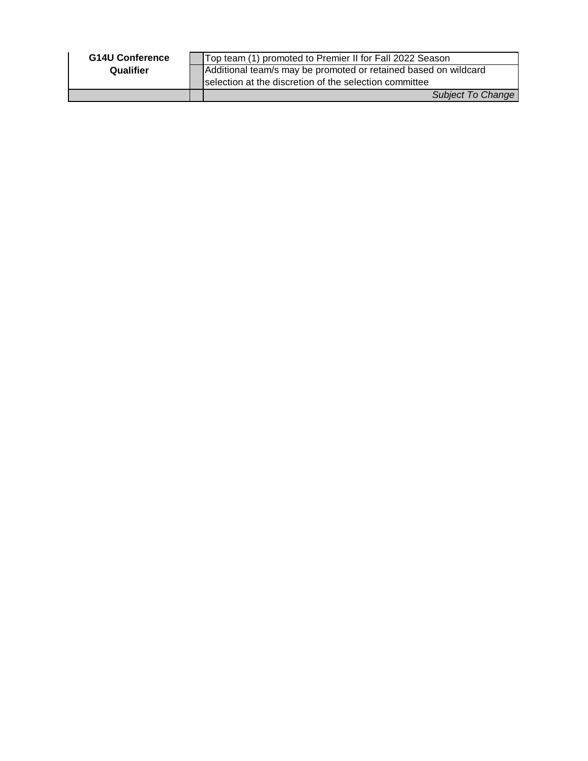| <b>G14U Conference</b> | Top team (1) promoted to Premier II for Fall 2022 Season        |
|------------------------|-----------------------------------------------------------------|
| Qualifier              | Additional team/s may be promoted or retained based on wildcard |
|                        | Selection at the discretion of the selection committee          |
|                        | Subject To Change                                               |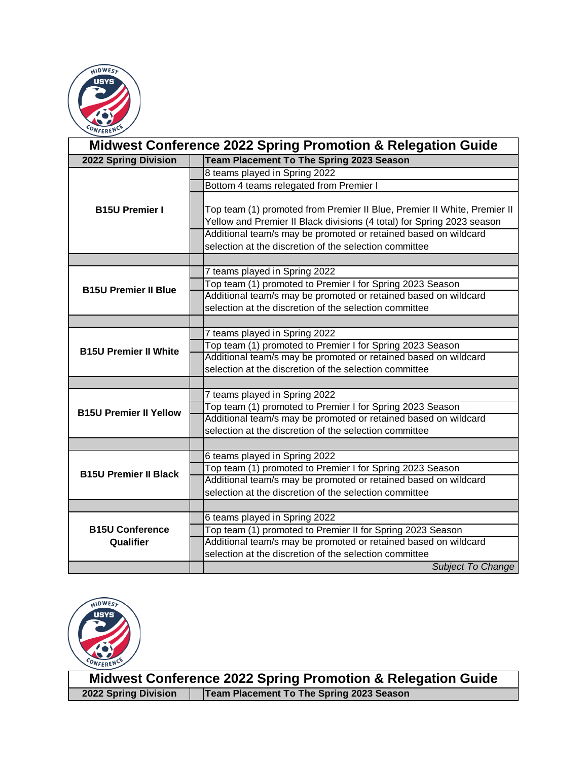

|                               | <b>Midwest Conference 2022 Spring Promotion &amp; Relegation Guide</b>                                                                                                                                                |
|-------------------------------|-----------------------------------------------------------------------------------------------------------------------------------------------------------------------------------------------------------------------|
| 2022 Spring Division          | <b>Team Placement To The Spring 2023 Season</b>                                                                                                                                                                       |
|                               | 8 teams played in Spring 2022                                                                                                                                                                                         |
|                               | Bottom 4 teams relegated from Premier I                                                                                                                                                                               |
| <b>B15U Premier I</b>         | Top team (1) promoted from Premier II Blue, Premier II White, Premier II<br>Yellow and Premier II Black divisions (4 total) for Spring 2023 season<br>Additional team/s may be promoted or retained based on wildcard |
|                               | selection at the discretion of the selection committee                                                                                                                                                                |
|                               |                                                                                                                                                                                                                       |
|                               | 7 teams played in Spring 2022                                                                                                                                                                                         |
|                               | Top team (1) promoted to Premier I for Spring 2023 Season                                                                                                                                                             |
| <b>B15U Premier II Blue</b>   | Additional team/s may be promoted or retained based on wildcard                                                                                                                                                       |
|                               | selection at the discretion of the selection committee                                                                                                                                                                |
|                               |                                                                                                                                                                                                                       |
|                               | 7 teams played in Spring 2022                                                                                                                                                                                         |
|                               | Top team (1) promoted to Premier I for Spring 2023 Season                                                                                                                                                             |
| <b>B15U Premier II White</b>  | Additional team/s may be promoted or retained based on wildcard                                                                                                                                                       |
|                               | selection at the discretion of the selection committee                                                                                                                                                                |
|                               |                                                                                                                                                                                                                       |
|                               | 7 teams played in Spring 2022                                                                                                                                                                                         |
| <b>B15U Premier II Yellow</b> | Top team (1) promoted to Premier I for Spring 2023 Season                                                                                                                                                             |
|                               | Additional team/s may be promoted or retained based on wildcard                                                                                                                                                       |
|                               | selection at the discretion of the selection committee                                                                                                                                                                |
|                               |                                                                                                                                                                                                                       |
|                               | 6 teams played in Spring 2022                                                                                                                                                                                         |
| <b>B15U Premier II Black</b>  | Top team (1) promoted to Premier I for Spring 2023 Season                                                                                                                                                             |
|                               | Additional team/s may be promoted or retained based on wildcard                                                                                                                                                       |
|                               | selection at the discretion of the selection committee                                                                                                                                                                |
|                               |                                                                                                                                                                                                                       |
|                               | 6 teams played in Spring 2022                                                                                                                                                                                         |
| <b>B15U Conference</b>        | Top team (1) promoted to Premier II for Spring 2023 Season                                                                                                                                                            |
| Qualifier                     | Additional team/s may be promoted or retained based on wildcard                                                                                                                                                       |
|                               | selection at the discretion of the selection committee                                                                                                                                                                |
|                               | <b>Subject To Change</b>                                                                                                                                                                                              |



**2022 Spring Division | Team Placement To The Spring 2023 Season Midwest Conference 2022 Spring Promotion & Relegation Guide**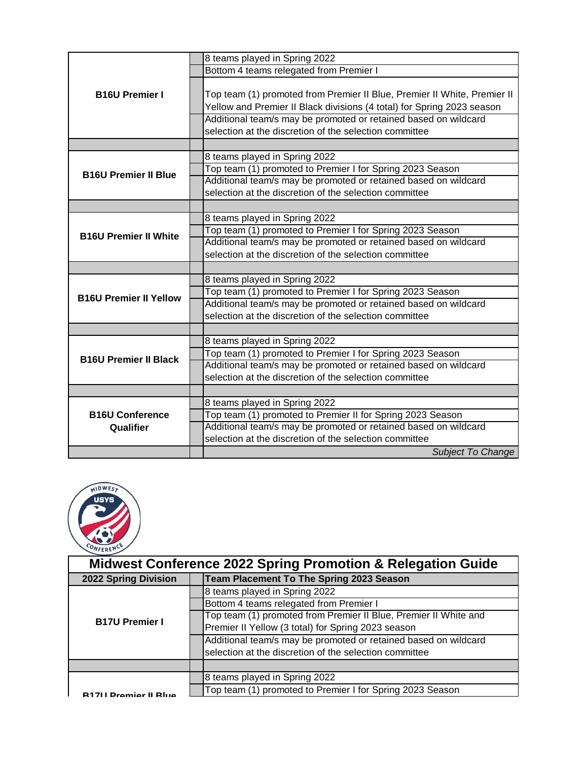|                               | 8 teams played in Spring 2022                                            |
|-------------------------------|--------------------------------------------------------------------------|
|                               | Bottom 4 teams relegated from Premier I                                  |
|                               |                                                                          |
| <b>B16U Premier I</b>         | Top team (1) promoted from Premier II Blue, Premier II White, Premier II |
|                               | Yellow and Premier II Black divisions (4 total) for Spring 2023 season   |
|                               | Additional team/s may be promoted or retained based on wildcard          |
|                               |                                                                          |
|                               | selection at the discretion of the selection committee                   |
|                               |                                                                          |
|                               | 8 teams played in Spring 2022                                            |
| <b>B16U Premier II Blue</b>   | Top team (1) promoted to Premier I for Spring 2023 Season                |
|                               | Additional team/s may be promoted or retained based on wildcard          |
|                               | selection at the discretion of the selection committee                   |
|                               |                                                                          |
|                               | 8 teams played in Spring 2022                                            |
| <b>B16U Premier II White</b>  | Top team (1) promoted to Premier I for Spring 2023 Season                |
|                               | Additional team/s may be promoted or retained based on wildcard          |
|                               | selection at the discretion of the selection committee                   |
|                               |                                                                          |
|                               | 8 teams played in Spring 2022                                            |
| <b>B16U Premier II Yellow</b> | Top team (1) promoted to Premier I for Spring 2023 Season                |
|                               | Additional team/s may be promoted or retained based on wildcard          |
|                               | selection at the discretion of the selection committee                   |
|                               |                                                                          |
|                               | 8 teams played in Spring 2022                                            |
| <b>B16U Premier II Black</b>  | Top team (1) promoted to Premier I for Spring 2023 Season                |
|                               | Additional team/s may be promoted or retained based on wildcard          |
|                               | selection at the discretion of the selection committee                   |
|                               |                                                                          |
|                               | 8 teams played in Spring 2022                                            |
| <b>B16U Conference</b>        | Top team (1) promoted to Premier II for Spring 2023 Season               |
| Qualifier                     | Additional team/s may be promoted or retained based on wildcard          |
|                               | selection at the discretion of the selection committee                   |
|                               | <b>Subject To Change</b>                                                 |



| <b>Midwest Conference 2022 Spring Promotion &amp; Relegation Guide</b> |  |                                                                  |
|------------------------------------------------------------------------|--|------------------------------------------------------------------|
| <b>2022 Spring Division</b>                                            |  | <b>Team Placement To The Spring 2023 Season</b>                  |
|                                                                        |  | 8 teams played in Spring 2022                                    |
|                                                                        |  | Bottom 4 teams relegated from Premier I                          |
| <b>B17U Premier I</b>                                                  |  | Top team (1) promoted from Premier II Blue, Premier II White and |
|                                                                        |  | Premier II Yellow (3 total) for Spring 2023 season               |
|                                                                        |  | Additional team/s may be promoted or retained based on wildcard  |
|                                                                        |  | selection at the discretion of the selection committee           |
|                                                                        |  |                                                                  |
|                                                                        |  | 8 teams played in Spring 2022                                    |
| <b>711 Dramier II Rlug</b>                                             |  | Top team (1) promoted to Premier I for Spring 2023 Season        |
|                                                                        |  |                                                                  |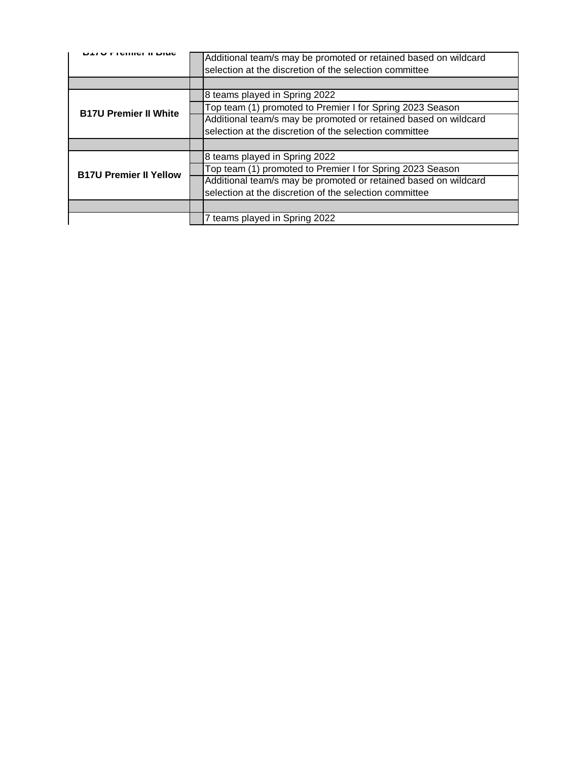|                               | Additional team/s may be promoted or retained based on wildcard<br>selection at the discretion of the selection committee |
|-------------------------------|---------------------------------------------------------------------------------------------------------------------------|
|                               |                                                                                                                           |
|                               | 8 teams played in Spring 2022                                                                                             |
| <b>B17U Premier II White</b>  | Top team (1) promoted to Premier I for Spring 2023 Season                                                                 |
|                               | Additional team/s may be promoted or retained based on wildcard                                                           |
|                               | selection at the discretion of the selection committee                                                                    |
|                               |                                                                                                                           |
|                               | 8 teams played in Spring 2022                                                                                             |
| <b>B17U Premier II Yellow</b> | Top team (1) promoted to Premier I for Spring 2023 Season                                                                 |
|                               | Additional team/s may be promoted or retained based on wildcard                                                           |
|                               | selection at the discretion of the selection committee                                                                    |
|                               |                                                                                                                           |
|                               | 7 teams played in Spring 2022                                                                                             |